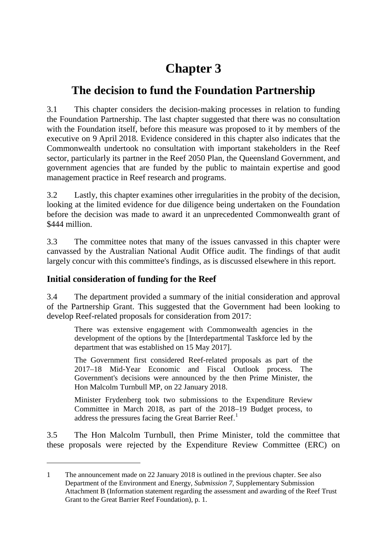# **Chapter 3**

## **The decision to fund the Foundation Partnership**

3.1 This chapter considers the decision-making processes in relation to funding the Foundation Partnership. The last chapter suggested that there was no consultation with the Foundation itself, before this measure was proposed to it by members of the executive on 9 April 2018. Evidence considered in this chapter also indicates that the Commonwealth undertook no consultation with important stakeholders in the Reef sector, particularly its partner in the Reef 2050 Plan, the Queensland Government, and government agencies that are funded by the public to maintain expertise and good management practice in Reef research and programs.

3.2 Lastly, this chapter examines other irregularities in the probity of the decision, looking at the limited evidence for due diligence being undertaken on the Foundation before the decision was made to award it an unprecedented Commonwealth grant of \$444 million.

3.3 The committee notes that many of the issues canvassed in this chapter were canvassed by the Australian National Audit Office audit. The findings of that audit largely concur with this committee's findings, as is discussed elsewhere in this report.

## **Initial consideration of funding for the Reef**

-

3.4 The department provided a summary of the initial consideration and approval of the Partnership Grant. This suggested that the Government had been looking to develop Reef-related proposals for consideration from 2017:

There was extensive engagement with Commonwealth agencies in the development of the options by the [Interdepartmental Taskforce led by the department that was established on 15 May 2017].

The Government first considered Reef-related proposals as part of the 2017–18 Mid-Year Economic and Fiscal Outlook process. The Government's decisions were announced by the then Prime Minister, the Hon Malcolm Turnbull MP, on 22 January 2018.

Minister Frydenberg took two submissions to the Expenditure Review Committee in March 2018, as part of the 2018–19 Budget process, to address the pressures facing the Great Barrier Reef.<sup>[1](#page-0-0)</sup>

3.5 The Hon Malcolm Turnbull, then Prime Minister, told the committee that these proposals were rejected by the Expenditure Review Committee (ERC) on

<span id="page-0-0"></span><sup>1</sup> The announcement made on 22 January 2018 is outlined in the previous chapter. See also Department of the Environment and Energy, *Submission 7*, Supplementary Submission Attachment B (Information statement regarding the assessment and awarding of the Reef Trust Grant to the Great Barrier Reef Foundation), p. 1.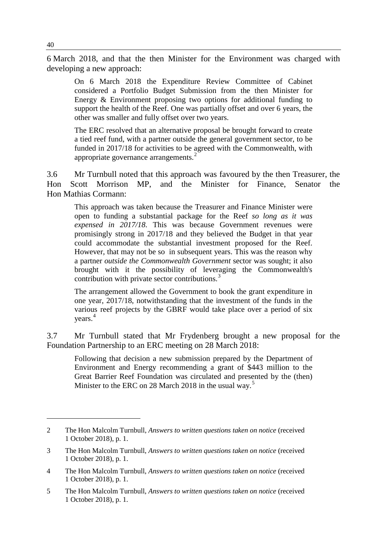6 March 2018, and that the then Minister for the Environment was charged with developing a new approach:

On 6 March 2018 the Expenditure Review Committee of Cabinet considered a Portfolio Budget Submission from the then Minister for Energy & Environment proposing two options for additional funding to support the health of the Reef. One was partially offset and over 6 years, the other was smaller and fully offset over two years.

The ERC resolved that an alternative proposal be brought forward to create a tied reef fund, with a partner outside the general government sector, to be funded in 2017/18 for activities to be agreed with the Commonwealth, with appropriate governance arrangements.<sup>[2](#page-1-0)</sup>

3.6 Mr Turnbull noted that this approach was favoured by the then Treasurer, the Hon Scott Morrison MP, and the Minister for Finance, Senator the Hon Mathias Cormann:

This approach was taken because the Treasurer and Finance Minister were open to funding a substantial package for the Reef *so long as it was expensed in 2017/18*. This was because Government revenues were promisingly strong in 2017/18 and they believed the Budget in that year could accommodate the substantial investment proposed for the Reef. However, that may not be so in subsequent years. This was the reason why a partner *outside the Commonwealth Government* sector was sought; it also brought with it the possibility of leveraging the Commonwealth's contribution with private sector contributions.<sup>[3](#page-1-1)</sup>

The arrangement allowed the Government to book the grant expenditure in one year, 2017/18, notwithstanding that the investment of the funds in the various reef projects by the GBRF would take place over a period of six years. [4](#page-1-2)

3.7 Mr Turnbull stated that Mr Frydenberg brought a new proposal for the Foundation Partnership to an ERC meeting on 28 March 2018:

Following that decision a new submission prepared by the Department of Environment and Energy recommending a grant of \$443 million to the Great Barrier Reef Foundation was circulated and presented by the (then) Minister to the ERC on 28 March 2018 in the usual way.<sup>[5](#page-1-3)</sup>

<span id="page-1-0"></span><sup>2</sup> The Hon Malcolm Turnbull, *Answers to written questions taken on notice* (received 1 October 2018), p. 1.

<span id="page-1-1"></span><sup>3</sup> The Hon Malcolm Turnbull, *Answers to written questions taken on notice* (received 1 October 2018), p. 1.

<span id="page-1-2"></span><sup>4</sup> The Hon Malcolm Turnbull, *Answers to written questions taken on notice* (received 1 October 2018), p. 1.

<span id="page-1-3"></span><sup>5</sup> The Hon Malcolm Turnbull, *Answers to written questions taken on notice* (received 1 October 2018), p. 1.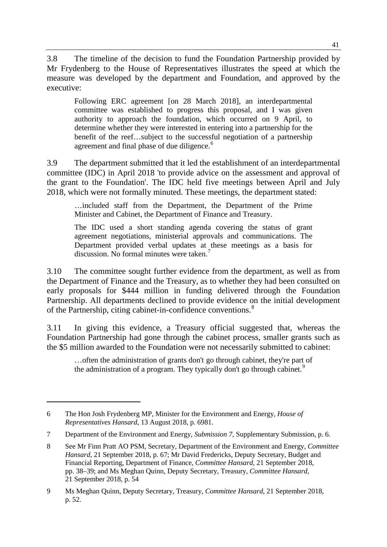3.8 The timeline of the decision to fund the Foundation Partnership provided by Mr Frydenberg to the House of Representatives illustrates the speed at which the measure was developed by the department and Foundation, and approved by the executive:

Following ERC agreement [on 28 March 2018], an interdepartmental committee was established to progress this proposal, and I was given authority to approach the foundation, which occurred on 9 April, to determine whether they were interested in entering into a partnership for the benefit of the reef…subject to the successful negotiation of a partnership agreement and final phase of due diligence.<sup>[6](#page-2-0)</sup>

3.9 The department submitted that it led the establishment of an interdepartmental committee (IDC) in April 2018 'to provide advice on the assessment and approval of the grant to the Foundation'. The IDC held five meetings between April and July 2018, which were not formally minuted. These meetings, the department stated:

…included staff from the Department, the Department of the Prime Minister and Cabinet, the Department of Finance and Treasury.

The IDC used a short standing agenda covering the status of grant agreement negotiations, ministerial approvals and communications. The Department provided verbal updates at these meetings as a basis for discussion. No formal minutes were taken.<sup>[7](#page-2-1)</sup>

3.10 The committee sought further evidence from the department, as well as from the Department of Finance and the Treasury, as to whether they had been consulted on early proposals for \$444 million in funding delivered through the Foundation Partnership. All departments declined to provide evidence on the initial development of the Partnership, citing cabinet-in-confidence conventions.<sup>[8](#page-2-2)</sup>

3.11 In giving this evidence, a Treasury official suggested that, whereas the Foundation Partnership had gone through the cabinet process, smaller grants such as the \$5 million awarded to the Foundation were not necessarily submitted to cabinet:

…often the administration of grants don't go through cabinet, they're part of the administration of a program. They typically don't go through cabinet.<sup>[9](#page-2-3)</sup>

<span id="page-2-0"></span><sup>6</sup> The Hon Josh Frydenberg MP, Minister for the Environment and Energy, *House of Representatives Hansard*, 13 August 2018, p. 6981.

<span id="page-2-1"></span><sup>7</sup> Department of the Environment and Energy, *Submission 7*, Supplementary Submission, p. 6.

<span id="page-2-2"></span><sup>8</sup> See Mr Finn Pratt AO PSM, Secretary, Department of the Environment and Energy, *Committee Hansard*, 21 September 2018, p. 67; Mr David Fredericks, Deputy Secretary, Budget and Financial Reporting, Department of Finance, *Committee Hansard*, 21 September 2018, pp. 38–39; and Ms Meghan Quinn, Deputy Secretary, Treasury, *Committee Hansard*, 21 September 2018, p. 54

<span id="page-2-3"></span><sup>9</sup> Ms Meghan Quinn, Deputy Secretary, Treasury, *Committee Hansard*, 21 September 2018, p. 52.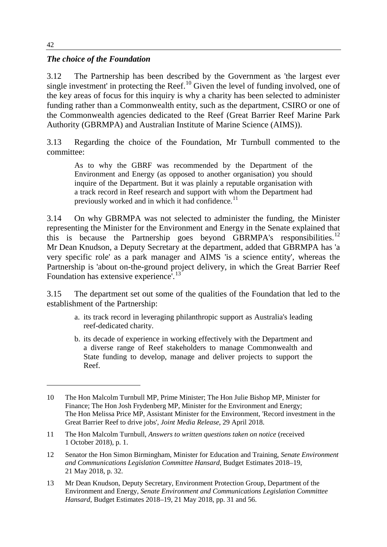#### *The choice of the Foundation*

3.12 The Partnership has been described by the Government as 'the largest ever single investment' in protecting the Reef.<sup>[10](#page-3-0)</sup> Given the level of funding involved, one of the key areas of focus for this inquiry is why a charity has been selected to administer funding rather than a Commonwealth entity, such as the department, CSIRO or one of the Commonwealth agencies dedicated to the Reef (Great Barrier Reef Marine Park Authority (GBRMPA) and Australian Institute of Marine Science (AIMS)).

3.13 Regarding the choice of the Foundation, Mr Turnbull commented to the committee:

As to why the GBRF was recommended by the Department of the Environment and Energy (as opposed to another organisation) you should inquire of the Department. But it was plainly a reputable organisation with a track record in Reef research and support with whom the Department had previously worked and in which it had confidence.<sup>[11](#page-3-1)</sup>

3.14 On why GBRMPA was not selected to administer the funding, the Minister representing the Minister for the Environment and Energy in the Senate explained that this is because the Partnership goes beyond GBRMPA's responsibilities.<sup>[12](#page-3-2)</sup> Mr Dean Knudson, a Deputy Secretary at the department, added that GBRMPA has 'a very specific role' as a park manager and AIMS 'is a science entity', whereas the Partnership is 'about on-the-ground project delivery, in which the Great Barrier Reef Foundation has extensive experience<sup>'.[13](#page-3-3)</sup>

3.15 The department set out some of the qualities of the Foundation that led to the establishment of the Partnership:

- a. its track record in leveraging philanthropic support as Australia's leading reef-dedicated charity.
- b. its decade of experience in working effectively with the Department and a diverse range of Reef stakeholders to manage Commonwealth and State funding to develop, manage and deliver projects to support the Reef.

<span id="page-3-0"></span><sup>10</sup> The Hon Malcolm Turnbull MP, Prime Minister; The Hon Julie Bishop MP, Minister for Finance; The Hon Josh Frydenberg MP, Minister for the Environment and Energy; The Hon Melissa Price MP, Assistant Minister for the Environment, 'Record investment in the Great Barrier Reef to drive jobs', *Joint Media Release*, 29 April 2018.

<span id="page-3-1"></span><sup>11</sup> The Hon Malcolm Turnbull, *Answers to written questions taken on notice* (received 1 October 2018), p. 1.

<span id="page-3-2"></span><sup>12</sup> Senator the Hon Simon Birmingham, Minister for Education and Training, *Senate Environment and Communications Legislation Committee Hansard*, Budget Estimates 2018–19, 21 May 2018, p. 32.

<span id="page-3-3"></span><sup>13</sup> Mr Dean Knudson, Deputy Secretary, Environment Protection Group, Department of the Environment and Energy, *Senate Environment and Communications Legislation Committee Hansard*, Budget Estimates 2018–19, 21 May 2018, pp. 31 and 56.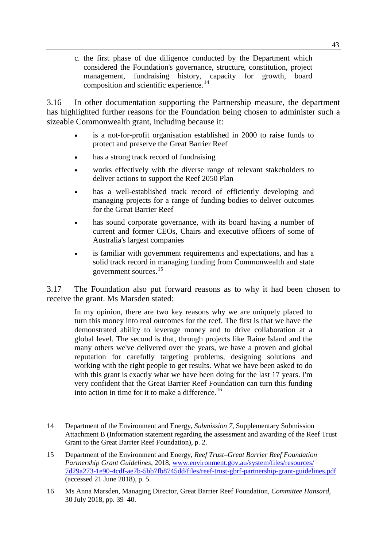c. the first phase of due diligence conducted by the Department which considered the Foundation's governance, structure, constitution, project management, fundraising history, capacity for growth, board composition and scientific experience.<sup>[14](#page-4-0)</sup>

3.16 In other documentation supporting the Partnership measure, the department has highlighted further reasons for the Foundation being chosen to administer such a sizeable Commonwealth grant, including because it:

- is a not-for-profit organisation established in 2000 to raise funds to protect and preserve the Great Barrier Reef
- has a strong track record of fundraising
- works effectively with the diverse range of relevant stakeholders to deliver actions to support the Reef 2050 Plan
- has a well-established track record of efficiently developing and managing projects for a range of funding bodies to deliver outcomes for the Great Barrier Reef
- has sound corporate governance, with its board having a number of current and former CEOs, Chairs and executive officers of some of Australia's largest companies
- is familiar with government requirements and expectations, and has a solid track record in managing funding from Commonwealth and state government sources. [15](#page-4-1)

3.17 The Foundation also put forward reasons as to why it had been chosen to receive the grant. Ms Marsden stated:

In my opinion, there are two key reasons why we are uniquely placed to turn this money into real outcomes for the reef. The first is that we have the demonstrated ability to leverage money and to drive collaboration at a global level. The second is that, through projects like Raine Island and the many others we've delivered over the years, we have a proven and global reputation for carefully targeting problems, designing solutions and working with the right people to get results. What we have been asked to do with this grant is exactly what we have been doing for the last 17 years. I'm very confident that the Great Barrier Reef Foundation can turn this funding into action in time for it to make a difference.<sup>[16](#page-4-2)</sup>

<span id="page-4-0"></span><sup>14</sup> Department of the Environment and Energy, *Submission 7*, Supplementary Submission Attachment B (Information statement regarding the assessment and awarding of the Reef Trust Grant to the Great Barrier Reef Foundation), p. 2.

<span id="page-4-1"></span><sup>15</sup> Department of the Environment and Energy, *Reef Trust–Great Barrier Reef Foundation Partnership Grant Guidelines*, 2018, [www.environment.gov.au/system/files/resources/](http://www.environment.gov.au/system/files/resources/7d29a273-1e90-4cdf-ae7b-5bb7fb8745dd/files/reef-trust-gbrf-partnership-grant-guidelines.pdf) [7d29a273-1e90-4cdf-ae7b-5bb7fb8745dd/files/reef-trust-gbrf-partnership-grant-guidelines.pdf](http://www.environment.gov.au/system/files/resources/7d29a273-1e90-4cdf-ae7b-5bb7fb8745dd/files/reef-trust-gbrf-partnership-grant-guidelines.pdf) (accessed 21 June 2018), p. 5.

<span id="page-4-2"></span><sup>16</sup> Ms Anna Marsden, Managing Director, Great Barrier Reef Foundation, *Committee Hansard*, 30 July 2018, pp. 39–40.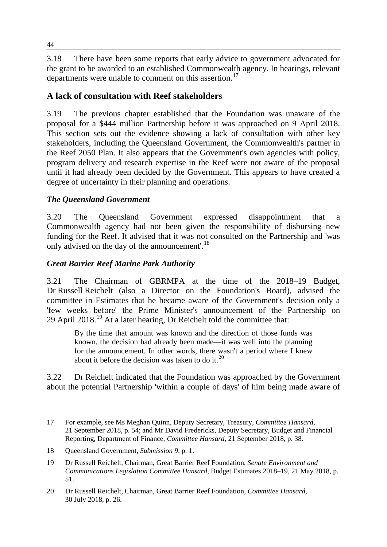3.18 There have been some reports that early advice to government advocated for the grant to be awarded to an established Commonwealth agency. In hearings, relevant departments were unable to comment on this assertion.<sup>[17](#page-5-0)</sup>

## **A lack of consultation with Reef stakeholders**

3.19 The previous chapter established that the Foundation was unaware of the proposal for a \$444 million Partnership before it was approached on 9 April 2018. This section sets out the evidence showing a lack of consultation with other key stakeholders, including the Queensland Government, the Commonwealth's partner in the Reef 2050 Plan. It also appears that the Government's own agencies with policy, program delivery and research expertise in the Reef were not aware of the proposal until it had already been decided by the Government. This appears to have created a degree of uncertainty in their planning and operations.

#### *The Queensland Government*

3.20 The Queensland Government expressed disappointment that a Commonwealth agency had not been given the responsibility of disbursing new funding for the Reef. It advised that it was not consulted on the Partnership and 'was only advised on the day of the announcement'.<sup>[18](#page-5-1)</sup>

#### *Great Barrier Reef Marine Park Authority*

3.21 The Chairman of GBRMPA at the time of the 2018–19 Budget, Dr Russell Reichelt (also a Director on the Foundation's Board), advised the committee in Estimates that he became aware of the Government's decision only a 'few weeks before' the Prime Minister's announcement of the Partnership on 29 April  $2018<sup>19</sup>$  $2018<sup>19</sup>$  $2018<sup>19</sup>$  At a later hearing. Dr Reichelt told the committee that:

By the time that amount was known and the direction of those funds was known, the decision had already been made—it was well into the planning for the announcement. In other words, there wasn't a period where I knew about it before the decision was taken to do it.  $20$ 

3.22 Dr Reichelt indicated that the Foundation was approached by the Government about the potential Partnership 'within a couple of days' of him being made aware of

<span id="page-5-0"></span><sup>17</sup> For example, see Ms Meghan Quinn, Deputy Secretary, Treasury, *Committee Hansard*, 21 September 2018, p. 54; and Mr David Fredericks, Deputy Secretary, Budget and Financial Reporting, Department of Finance, *Committee Hansard*, 21 September 2018, p. 38.

<span id="page-5-1"></span><sup>18</sup> Queensland Government, *Submission 9*, p. 1.

<span id="page-5-2"></span><sup>19</sup> Dr Russell Reichelt, Chairman, Great Barrier Reef Foundation, *Senate Environment and Communications Legislation Committee Hansard*, Budget Estimates 2018–19, 21 May 2018, p. 51.

<span id="page-5-3"></span><sup>20</sup> Dr Russell Reichelt, Chairman, Great Barrier Reef Foundation, *Committee Hansard*, 30 July 2018, p. 26.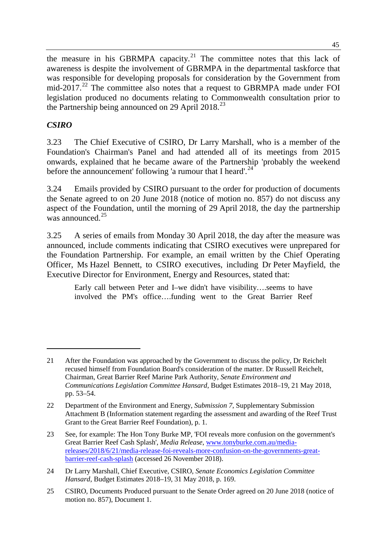the measure in his GBRMPA capacity.<sup>[21](#page-6-0)</sup> The committee notes that this lack of awareness is despite the involvement of GBRMPA in the departmental taskforce that was responsible for developing proposals for consideration by the Government from mid-2017.<sup>[22](#page-6-1)</sup> The committee also notes that a request to GBRMPA made under FOI legislation produced no documents relating to Commonwealth consultation prior to the Partnership being announced on 29 April 2018.<sup>[23](#page-6-2)</sup>

## *CSIRO*

-

3.23 The Chief Executive of CSIRO, Dr Larry Marshall, who is a member of the Foundation's Chairman's Panel and had attended all of its meetings from 2015 onwards, explained that he became aware of the Partnership 'probably the weekend before the announcement' following 'a rumour that I heard'.<sup>[24](#page-6-3)</sup>

3.24 Emails provided by CSIRO pursuant to the order for production of documents the Senate agreed to on 20 June 2018 (notice of motion no. 857) do not discuss any aspect of the Foundation, until the morning of 29 April 2018, the day the partnership was announced  $^{25}$  $^{25}$  $^{25}$ 

3.25 A series of emails from Monday 30 April 2018, the day after the measure was announced, include comments indicating that CSIRO executives were unprepared for the Foundation Partnership. For example, an email written by the Chief Operating Officer, Ms Hazel Bennett, to CSIRO executives, including Dr Peter Mayfield, the Executive Director for Environment, Energy and Resources, stated that:

Early call between Peter and I–we didn't have visibility….seems to have involved the PM's office….funding went to the Great Barrier Reef

<span id="page-6-0"></span><sup>21</sup> After the Foundation was approached by the Government to discuss the policy, Dr Reichelt recused himself from Foundation Board's consideration of the matter. Dr Russell Reichelt, Chairman, Great Barrier Reef Marine Park Authority, *Senate Environment and Communications Legislation Committee Hansard*, Budget Estimates 2018–19, 21 May 2018, pp. 53–54.

<span id="page-6-1"></span><sup>22</sup> Department of the Environment and Energy, *Submission 7*, Supplementary Submission Attachment B (Information statement regarding the assessment and awarding of the Reef Trust Grant to the Great Barrier Reef Foundation), p. 1.

<span id="page-6-2"></span><sup>23</sup> See, for example: The Hon Tony Burke MP, 'FOI reveals more confusion on the government's Great Barrier Reef Cash Splash', *Media Release*, [www.tonyburke.com.au/media](http://www.tonyburke.com.au/media-releases/2018/6/21/media-release-foi-reveals-more-confusion-on-the-governments-great-barrier-reef-cash-splash)[releases/2018/6/21/media-release-foi-reveals-more-confusion-on-the-governments-great](http://www.tonyburke.com.au/media-releases/2018/6/21/media-release-foi-reveals-more-confusion-on-the-governments-great-barrier-reef-cash-splash)[barrier-reef-cash-splash](http://www.tonyburke.com.au/media-releases/2018/6/21/media-release-foi-reveals-more-confusion-on-the-governments-great-barrier-reef-cash-splash) (accessed 26 November 2018).

<span id="page-6-3"></span><sup>24</sup> Dr Larry Marshall, Chief Executive, CSIRO, *Senate Economics Legislation Committee Hansard*, Budget Estimates 2018–19, 31 May 2018, p. 169.

<span id="page-6-4"></span><sup>25</sup> CSIRO, Documents Produced pursuant to the Senate Order agreed on 20 June 2018 (notice of motion no. 857), Document 1.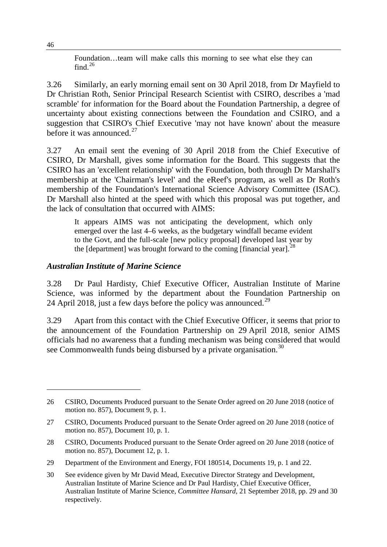Foundation…team will make calls this morning to see what else they can find. $^{26}$  $^{26}$  $^{26}$ 

3.26 Similarly, an early morning email sent on 30 April 2018, from Dr Mayfield to Dr Christian Roth, Senior Principal Research Scientist with CSIRO, describes a 'mad scramble' for information for the Board about the Foundation Partnership, a degree of uncertainty about existing connections between the Foundation and CSIRO, and a suggestion that CSIRO's Chief Executive 'may not have known' about the measure before it was announced. $27$ 

3.27 An email sent the evening of 30 April 2018 from the Chief Executive of CSIRO, Dr Marshall, gives some information for the Board. This suggests that the CSIRO has an 'excellent relationship' with the Foundation, both through Dr Marshall's membership at the 'Chairman's level' and the eReef's program, as well as Dr Roth's membership of the Foundation's International Science Advisory Committee (ISAC). Dr Marshall also hinted at the speed with which this proposal was put together, and the lack of consultation that occurred with AIMS:

It appears AIMS was not anticipating the development, which only emerged over the last 4–6 weeks, as the budgetary windfall became evident to the Govt, and the full-scale [new policy proposal] developed last year by the [department] was brought forward to the coming [financial year].<sup>[28](#page-7-2)</sup>

#### *Australian Institute of Marine Science*

3.28 Dr Paul Hardisty, Chief Executive Officer, Australian Institute of Marine Science, was informed by the department about the Foundation Partnership on 24 April 2018, just a few days before the policy was announced.<sup>[29](#page-7-3)</sup>

3.29 Apart from this contact with the Chief Executive Officer, it seems that prior to the announcement of the Foundation Partnership on 29 April 2018, senior AIMS officials had no awareness that a funding mechanism was being considered that would see Commonwealth funds being disbursed by a private organisation.<sup>[30](#page-7-4)</sup>

<span id="page-7-0"></span><sup>26</sup> CSIRO, Documents Produced pursuant to the Senate Order agreed on 20 June 2018 (notice of motion no. 857), Document 9, p. 1.

<span id="page-7-1"></span><sup>27</sup> CSIRO, Documents Produced pursuant to the Senate Order agreed on 20 June 2018 (notice of motion no. 857), Document 10, p. 1.

<span id="page-7-2"></span><sup>28</sup> CSIRO, Documents Produced pursuant to the Senate Order agreed on 20 June 2018 (notice of motion no. 857), Document 12, p. 1.

<span id="page-7-3"></span><sup>29</sup> Department of the Environment and Energy, FOI 180514, Documents 19, p. 1 and 22.

<span id="page-7-4"></span><sup>30</sup> See evidence given by Mr David Mead, Executive Director Strategy and Development, Australian Institute of Marine Science and Dr Paul Hardisty, Chief Executive Officer, Australian Institute of Marine Science, *Committee Hansard*, 21 September 2018, pp. 29 and 30 respectively.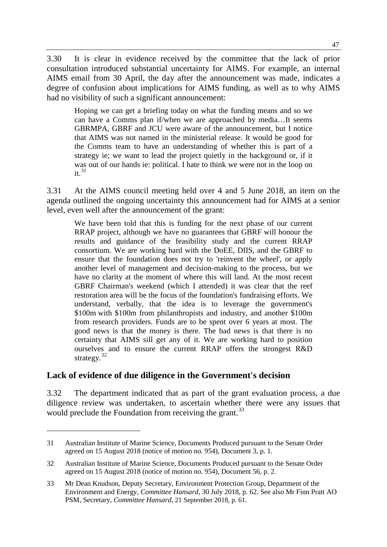3.30 It is clear in evidence received by the committee that the lack of prior consultation introduced substantial uncertainty for AIMS. For example, an internal AIMS email from 30 April, the day after the announcement was made, indicates a degree of confusion about implications for AIMS funding, as well as to why AIMS had no visibility of such a significant announcement:

Hoping we can get a briefing today on what the funding means and so we can have a Comms plan if/when we are approached by media…It seems GBRMPA, GBRF and JCU were aware of the announcement, but I notice that AIMS was not named in the ministerial release. It would be good for the Comms team to have an understanding of whether this is part of a strategy ie; we want to lead the project quietly in the background or, if it was out of our hands ie: political. I hate to think we were not in the loop on  $it<sup>31</sup>$  $it<sup>31</sup>$  $it<sup>31</sup>$ 

3.31 At the AIMS council meeting held over 4 and 5 June 2018, an item on the agenda outlined the ongoing uncertainty this announcement had for AIMS at a senior level, even well after the announcement of the grant:

We have been told that this is funding for the next phase of our current RRAP project, although we have no guarantees that GBRF will honour the results and guidance of the feasibility study and the current RRAP consortium. We are working hard with the DoEE, DIIS, and the GBRF to ensure that the foundation does not try to 'reinvent the wheel', or apply another level of management and decision-making to the process, but we have no clarity at the moment of where this will land. At the most recent GBRF Chairman's weekend (which I attended) it was clear that the reef restoration area will be the focus of the foundation's fundraising efforts. We understand, verbally, that the idea is to leverage the government's \$100m with \$100m from philanthropists and industry, and another \$100m from research providers. Funds are to be spent over 6 years at most. The good news is that the money is there. The bad news is that there is no certainty that AIMS sill get any of it. We are working hard to position ourselves and to ensure the current RRAP offers the strongest R&D strategy.<sup>[32](#page-8-1)</sup>

## **Lack of evidence of due diligence in the Government's decision**

-

3.32 The department indicated that as part of the grant evaluation process, a due diligence review was undertaken, to ascertain whether there were any issues that would preclude the Foundation from receiving the grant.<sup>[33](#page-8-2)</sup>

<span id="page-8-0"></span><sup>31</sup> Australian Institute of Marine Science, Documents Produced pursuant to the Senate Order agreed on 15 August 2018 (notice of motion no. 954), Document 3, p. 1.

<span id="page-8-1"></span><sup>32</sup> Australian Institute of Marine Science, Documents Produced pursuant to the Senate Order agreed on 15 August 2018 (notice of motion no. 954), Document 56, p. 2.

<span id="page-8-2"></span><sup>33</sup> Mr Dean Knudson, Deputy Secretary, Environment Protection Group, Department of the Environment and Energy, *Committee Hansard*, 30 July 2018, p. 62. See also Mr Finn Pratt AO PSM, Secretary, *Committee Hansard*, 21 September 2018, p. 61.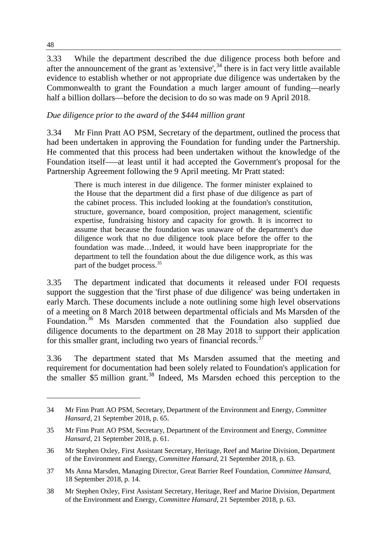3.33 While the department described the due diligence process both before and after the announcement of the grant as 'extensive',  $34$  there is in fact very little available evidence to establish whether or not appropriate due diligence was undertaken by the Commonwealth to grant the Foundation a much larger amount of funding—nearly half a billion dollars—before the decision to do so was made on 9 April 2018.

## *Due diligence prior to the award of the \$444 million grant*

3.34 Mr Finn Pratt AO PSM, Secretary of the department, outlined the process that had been undertaken in approving the Foundation for funding under the Partnership. He commented that this process had been undertaken without the knowledge of the Foundation itself–—at least until it had accepted the Government's proposal for the Partnership Agreement following the 9 April meeting. Mr Pratt stated:

There is much interest in due diligence. The former minister explained to the House that the department did a first phase of due diligence as part of the cabinet process. This included looking at the foundation's constitution, structure, governance, board composition, project management, scientific expertise, fundraising history and capacity for growth. It is incorrect to assume that because the foundation was unaware of the department's due diligence work that no due diligence took place before the offer to the foundation was made…Indeed, it would have been inappropriate for the department to tell the foundation about the due diligence work, as this was part of the budget process.<sup>[35](#page-9-1)</sup>

3.35 The department indicated that documents it released under FOI requests support the suggestion that the 'first phase of due diligence' was being undertaken in early March. These documents include a note outlining some high level observations of a meeting on 8 March 2018 between departmental officials and Ms Marsden of the Foundation.<sup>[36](#page-9-2)</sup> Ms Marsden commented that the Foundation also supplied due diligence documents to the department on 28 May 2018 to support their application for this smaller grant, including two years of financial records.<sup>[37](#page-9-3)</sup>

3.36 The department stated that Ms Marsden assumed that the meeting and requirement for documentation had been solely related to Foundation's application for the smaller \$5 million grant.<sup>[38](#page-9-4)</sup> Indeed, Ms Marsden echoed this perception to the

<span id="page-9-0"></span><sup>34</sup> Mr Finn Pratt AO PSM, Secretary, Department of the Environment and Energy, *Committee Hansard*, 21 September 2018, p. 65.

<span id="page-9-1"></span><sup>35</sup> Mr Finn Pratt AO PSM, Secretary, Department of the Environment and Energy, *Committee Hansard*, 21 September 2018, p. 61.

<span id="page-9-2"></span><sup>36</sup> Mr Stephen Oxley, First Assistant Secretary, Heritage, Reef and Marine Division, Department of the Environment and Energy, *Committee Hansard*, 21 September 2018, p. 63.

<span id="page-9-3"></span><sup>37</sup> Ms Anna Marsden, Managing Director, Great Barrier Reef Foundation, *Committee Hansard*, 18 September 2018, p. 14.

<span id="page-9-4"></span><sup>38</sup> Mr Stephen Oxley, First Assistant Secretary, Heritage, Reef and Marine Division, Department of the Environment and Energy, *Committee Hansard*, 21 September 2018, p. 63.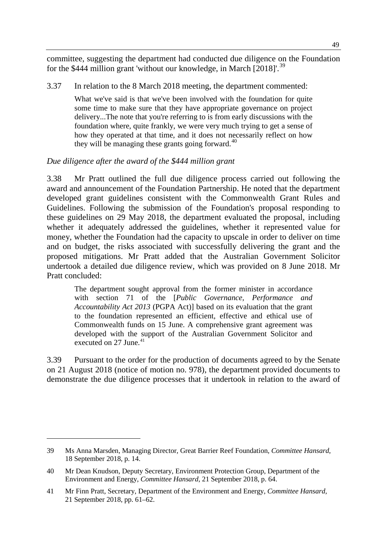committee, suggesting the department had conducted due diligence on the Foundation for the \$444 million grant 'without our knowledge, in March  $[2018]^{39}$  $[2018]^{39}$  $[2018]^{39}$ .

3.37 In relation to the 8 March 2018 meeting, the department commented:

What we've said is that we've been involved with the foundation for quite some time to make sure that they have appropriate governance on project delivery...The note that you're referring to is from early discussions with the foundation where, quite frankly, we were very much trying to get a sense of how they operated at that time, and it does not necessarily reflect on how they will be managing these grants going forward.  $40^{\circ}$  $40^{\circ}$ 

#### *Due diligence after the award of the \$444 million grant*

3.38 Mr Pratt outlined the full due diligence process carried out following the award and announcement of the Foundation Partnership. He noted that the department developed grant guidelines consistent with the Commonwealth Grant Rules and Guidelines. Following the submission of the Foundation's proposal responding to these guidelines on 29 May 2018, the department evaluated the proposal, including whether it adequately addressed the guidelines, whether it represented value for money, whether the Foundation had the capacity to upscale in order to deliver on time and on budget, the risks associated with successfully delivering the grant and the proposed mitigations. Mr Pratt added that the Australian Government Solicitor undertook a detailed due diligence review, which was provided on 8 June 2018. Mr Pratt concluded:

The department sought approval from the former minister in accordance with section 71 of the [*Public Governance, Performance and Accountability Act 2013* (PGPA Act)] based on its evaluation that the grant to the foundation represented an efficient, effective and ethical use of Commonwealth funds on 15 June. A comprehensive grant agreement was developed with the support of the Australian Government Solicitor and executed on 27 June.<sup>[41](#page-10-2)</sup>

3.39 Pursuant to the order for the production of documents agreed to by the Senate on 21 August 2018 (notice of motion no. 978), the department provided documents to demonstrate the due diligence processes that it undertook in relation to the award of

<span id="page-10-0"></span><sup>39</sup> Ms Anna Marsden, Managing Director, Great Barrier Reef Foundation, *Committee Hansard*, 18 September 2018, p. 14.

<span id="page-10-1"></span><sup>40</sup> Mr Dean Knudson, Deputy Secretary, Environment Protection Group, Department of the Environment and Energy, *Committee Hansard*, 21 September 2018, p. 64.

<span id="page-10-2"></span><sup>41</sup> Mr Finn Pratt, Secretary, Department of the Environment and Energy, *Committee Hansard*, 21 September 2018, pp. 61–62.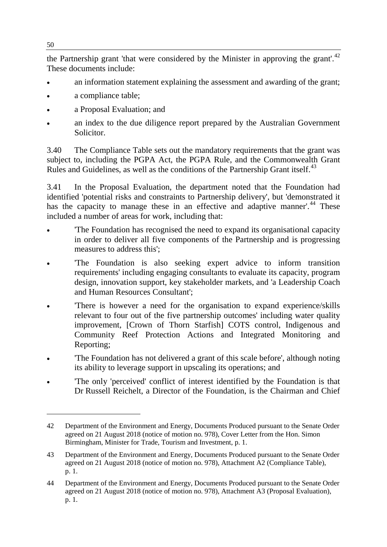the Partnership grant 'that were considered by the Minister in approving the grant'.<sup>[42](#page-11-0)</sup> These documents include:

- an information statement explaining the assessment and awarding of the grant;
- a compliance table;
- a Proposal Evaluation; and
- an index to the due diligence report prepared by the Australian Government Solicitor.

3.40 The Compliance Table sets out the mandatory requirements that the grant was subject to, including the PGPA Act, the PGPA Rule, and the Commonwealth Grant Rules and Guidelines, as well as the conditions of the Partnership Grant itself.<sup>[43](#page-11-1)</sup>

3.41 In the Proposal Evaluation, the department noted that the Foundation had identified 'potential risks and constraints to Partnership delivery', but 'demonstrated it has the capacity to manage these in an effective and adaptive manner'.<sup>[44](#page-11-2)</sup> These included a number of areas for work, including that:

- 'The Foundation has recognised the need to expand its organisational capacity in order to deliver all five components of the Partnership and is progressing measures to address this';
- The Foundation is also seeking expert advice to inform transition requirements' including engaging consultants to evaluate its capacity, program design, innovation support, key stakeholder markets, and 'a Leadership Coach and Human Resources Consultant';
- 'There is however a need for the organisation to expand experience/skills relevant to four out of the five partnership outcomes' including water quality improvement, [Crown of Thorn Starfish] COTS control, Indigenous and Community Reef Protection Actions and Integrated Monitoring and Reporting;
- 'The Foundation has not delivered a grant of this scale before', although noting its ability to leverage support in upscaling its operations; and
- 'The only 'perceived' conflict of interest identified by the Foundation is that Dr Russell Reichelt, a Director of the Foundation, is the Chairman and Chief

<span id="page-11-0"></span><sup>42</sup> Department of the Environment and Energy, Documents Produced pursuant to the Senate Order agreed on 21 August 2018 (notice of motion no. 978), Cover Letter from the Hon. Simon Birmingham, Minister for Trade, Tourism and Investment, p. 1.

<span id="page-11-1"></span><sup>43</sup> Department of the Environment and Energy, Documents Produced pursuant to the Senate Order agreed on 21 August 2018 (notice of motion no. 978), Attachment A2 (Compliance Table), p. 1.

<span id="page-11-2"></span><sup>44</sup> Department of the Environment and Energy, Documents Produced pursuant to the Senate Order agreed on 21 August 2018 (notice of motion no. 978), Attachment A3 (Proposal Evaluation), p. 1.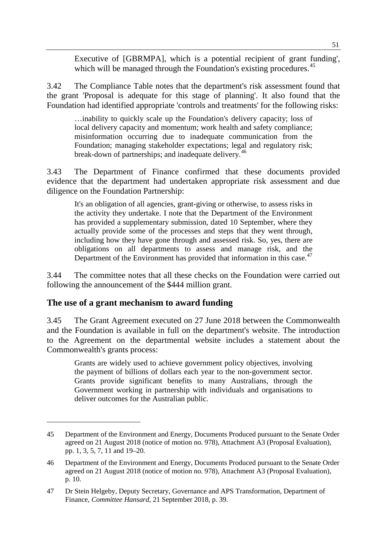Executive of [GBRMPA], which is a potential recipient of grant funding', which will be managed through the Foundation's existing procedures.<sup>[45](#page-12-0)</sup>

3.42 The Compliance Table notes that the department's risk assessment found that the grant 'Proposal is adequate for this stage of planning'. It also found that the Foundation had identified appropriate 'controls and treatments' for the following risks:

…inability to quickly scale up the Foundation's delivery capacity; loss of local delivery capacity and momentum; work health and safety compliance; misinformation occurring due to inadequate communication from the Foundation; managing stakeholder expectations; legal and regulatory risk; break-down of partnerships; and inadequate delivery.<sup>[46](#page-12-1)</sup>

3.43 The Department of Finance confirmed that these documents provided evidence that the department had undertaken appropriate risk assessment and due diligence on the Foundation Partnership:

It's an obligation of all agencies, grant-giving or otherwise, to assess risks in the activity they undertake. I note that the Department of the Environment has provided a supplementary submission, dated 10 September, where they actually provide some of the processes and steps that they went through, including how they have gone through and assessed risk. So, yes, there are obligations on all departments to assess and manage risk, and the Department of the Environment has provided that information in this case.<sup>[47](#page-12-2)</sup>

3.44 The committee notes that all these checks on the Foundation were carried out following the announcement of the \$444 million grant.

#### **The use of a grant mechanism to award funding**

-

3.45 The Grant Agreement executed on 27 June 2018 between the Commonwealth and the Foundation is available in full on the department's website. The introduction to the Agreement on the departmental website includes a statement about the Commonwealth's grants process:

Grants are widely used to achieve government policy objectives, involving the payment of billions of dollars each year to the non-government sector. Grants provide significant benefits to many Australians, through the Government working in partnership with individuals and organisations to deliver outcomes for the Australian public.

<span id="page-12-0"></span><sup>45</sup> Department of the Environment and Energy, Documents Produced pursuant to the Senate Order agreed on 21 August 2018 (notice of motion no. 978), Attachment A3 (Proposal Evaluation), pp. 1, 3, 5, 7, 11 and 19–20.

<span id="page-12-1"></span><sup>46</sup> Department of the Environment and Energy, Documents Produced pursuant to the Senate Order agreed on 21 August 2018 (notice of motion no. 978), Attachment A3 (Proposal Evaluation), p. 10.

<span id="page-12-2"></span><sup>47</sup> Dr Stein Helgeby, Deputy Secretary, Governance and APS Transformation, Department of Finance, *Committee Hansard*, 21 September 2018, p. 39.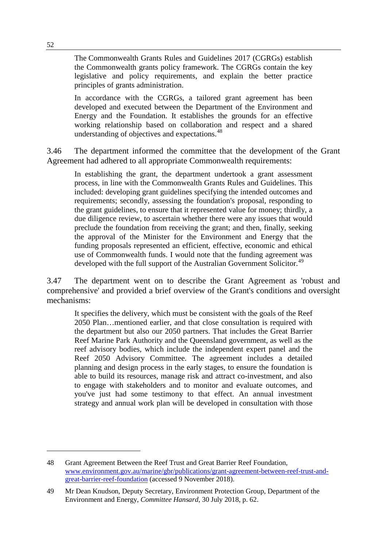The Commonwealth Grants Rules and Guidelines 2017 (CGRGs) establish the Commonwealth grants policy framework. The CGRGs contain the key legislative and policy requirements, and explain the better practice principles of grants administration.

In accordance with the CGRGs, a tailored grant agreement has been developed and executed between the Department of the Environment and Energy and the Foundation. It establishes the grounds for an effective working relationship based on collaboration and respect and a shared understanding of objectives and expectations.<sup>[48](#page-13-0)</sup>

3.46 The department informed the committee that the development of the Grant Agreement had adhered to all appropriate Commonwealth requirements:

In establishing the grant, the department undertook a grant assessment process, in line with the Commonwealth Grants Rules and Guidelines. This included: developing grant guidelines specifying the intended outcomes and requirements; secondly, assessing the foundation's proposal, responding to the grant guidelines, to ensure that it represented value for money; thirdly, a due diligence review, to ascertain whether there were any issues that would preclude the foundation from receiving the grant; and then, finally, seeking the approval of the Minister for the Environment and Energy that the funding proposals represented an efficient, effective, economic and ethical use of Commonwealth funds. I would note that the funding agreement was developed with the full support of the Australian Government Solicitor.<sup>[49](#page-13-1)</sup>

3.47 The department went on to describe the Grant Agreement as 'robust and comprehensive' and provided a brief overview of the Grant's conditions and oversight mechanisms:

It specifies the delivery, which must be consistent with the goals of the Reef 2050 Plan…mentioned earlier, and that close consultation is required with the department but also our 2050 partners. That includes the Great Barrier Reef Marine Park Authority and the Queensland government, as well as the reef advisory bodies, which include the independent expert panel and the Reef 2050 Advisory Committee. The agreement includes a detailed planning and design process in the early stages, to ensure the foundation is able to build its resources, manage risk and attract co-investment, and also to engage with stakeholders and to monitor and evaluate outcomes, and you've just had some testimony to that effect. An annual investment strategy and annual work plan will be developed in consultation with those

<span id="page-13-0"></span><sup>48</sup> Grant Agreement Between the Reef Trust and Great Barrier Reef Foundation, [www.environment.gov.au/marine/gbr/publications/grant-agreement-between-reef-trust-and](http://www.environment.gov.au/marine/gbr/publications/grant-agreement-between-reef-trust-and-great-barrier-reef-foundation)[great-barrier-reef-foundation](http://www.environment.gov.au/marine/gbr/publications/grant-agreement-between-reef-trust-and-great-barrier-reef-foundation) (accessed 9 November 2018).

<span id="page-13-1"></span><sup>49</sup> Mr Dean Knudson, Deputy Secretary, Environment Protection Group, Department of the Environment and Energy, *Committee Hansard*, 30 July 2018, p. 62.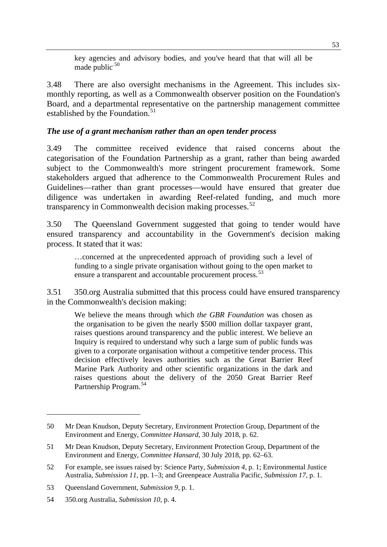key agencies and advisory bodies, and you've heard that that will all be made public $.50$  $.50$ 

3.48 There are also oversight mechanisms in the Agreement. This includes sixmonthly reporting, as well as a Commonwealth observer position on the Foundation's Board, and a departmental representative on the partnership management committee established by the Foundation.<sup>[51](#page-14-1)</sup>

#### *The use of a grant mechanism rather than an open tender process*

3.49 The committee received evidence that raised concerns about the categorisation of the Foundation Partnership as a grant, rather than being awarded subject to the Commonwealth's more stringent procurement framework. Some stakeholders argued that adherence to the Commonwealth Procurement Rules and Guidelines—rather than grant processes—would have ensured that greater due diligence was undertaken in awarding Reef-related funding, and much more transparency in Commonwealth decision making processes. $52$ 

3.50 The Queensland Government suggested that going to tender would have ensured transparency and accountability in the Government's decision making process. It stated that it was:

…concerned at the unprecedented approach of providing such a level of funding to a single private organisation without going to the open market to ensure a transparent and accountable procurement process.<sup>[53](#page-14-3)</sup>

3.51 350.org Australia submitted that this process could have ensured transparency in the Commonwealth's decision making:

We believe the means through which *the GBR Foundation* was chosen as the organisation to be given the nearly \$500 million dollar taxpayer grant, raises questions around transparency and the public interest. We believe an Inquiry is required to understand why such a large sum of public funds was given to a corporate organisation without a competitive tender process. This decision effectively leaves authorities such as the Great Barrier Reef Marine Park Authority and other scientific organizations in the dark and raises questions about the delivery of the 2050 Great Barrier Reef Partnership Program.[54](#page-14-4)

<span id="page-14-0"></span><sup>50</sup> Mr Dean Knudson, Deputy Secretary, Environment Protection Group, Department of the Environment and Energy, *Committee Hansard*, 30 July 2018, p. 62.

<span id="page-14-1"></span><sup>51</sup> Mr Dean Knudson, Deputy Secretary, Environment Protection Group, Department of the Environment and Energy, *Committee Hansard*, 30 July 2018, pp. 62–63.

<span id="page-14-2"></span><sup>52</sup> For example, see issues raised by: Science Party, *Submission 4*, p. 1; Environmental Justice Australia, *Submission 11*, pp. 1–3; and Greenpeace Australia Pacific, *Submission 17*, p. 1.

<span id="page-14-3"></span><sup>53</sup> Queensland Government, *Submission 9*, p. 1.

<span id="page-14-4"></span><sup>54</sup> 350.org Australia, *Submission 10*, p. 4.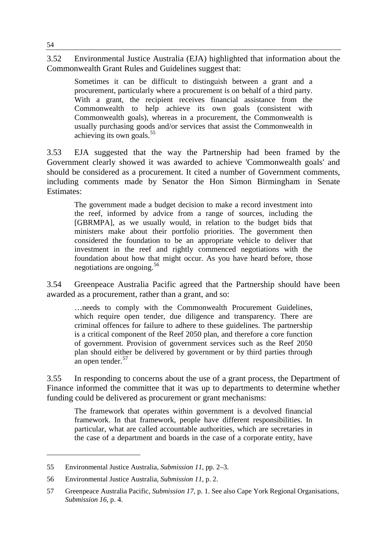3.52 Environmental Justice Australia (EJA) highlighted that information about the Commonwealth Grant Rules and Guidelines suggest that:

Sometimes it can be difficult to distinguish between a grant and a procurement, particularly where a procurement is on behalf of a third party. With a grant, the recipient receives financial assistance from the Commonwealth to help achieve its own goals (consistent with Commonwealth goals), whereas in a procurement, the Commonwealth is usually purchasing goods and/or services that assist the Commonwealth in achieving its own goals.<sup>[55](#page-15-0)</sup>

3.53 EJA suggested that the way the Partnership had been framed by the Government clearly showed it was awarded to achieve 'Commonwealth goals' and should be considered as a procurement. It cited a number of Government comments, including comments made by Senator the Hon Simon Birmingham in Senate Estimates:

The government made a budget decision to make a record investment into the reef, informed by advice from a range of sources, including the [GBRMPA], as we usually would, in relation to the budget bids that ministers make about their portfolio priorities. The government then considered the foundation to be an appropriate vehicle to deliver that investment in the reef and rightly commenced negotiations with the foundation about how that might occur. As you have heard before, those negotiations are ongoing.<sup>[56](#page-15-1)</sup>

3.54 Greenpeace Australia Pacific agreed that the Partnership should have been awarded as a procurement, rather than a grant, and so:

…needs to comply with the Commonwealth Procurement Guidelines, which require open tender, due diligence and transparency. There are criminal offences for failure to adhere to these guidelines. The partnership is a critical component of the Reef 2050 plan, and therefore a core function of government. Provision of government services such as the Reef 2050 plan should either be delivered by government or by third parties through an open tender.<sup>[57](#page-15-2)</sup>

3.55 In responding to concerns about the use of a grant process, the Department of Finance informed the committee that it was up to departments to determine whether funding could be delivered as procurement or grant mechanisms:

The framework that operates within government is a devolved financial framework. In that framework, people have different responsibilities. In particular, what are called accountable authorities, which are secretaries in the case of a department and boards in the case of a corporate entity, have

<span id="page-15-0"></span><sup>55</sup> Environmental Justice Australia, *Submission 11*, pp. 2–3.

<span id="page-15-1"></span><sup>56</sup> Environmental Justice Australia, *Submission 11*, p. 2.

<span id="page-15-2"></span><sup>57</sup> Greenpeace Australia Pacific, *Submission 17*, p. 1. See also Cape York Regional Organisations, *Submission 16*, p. 4.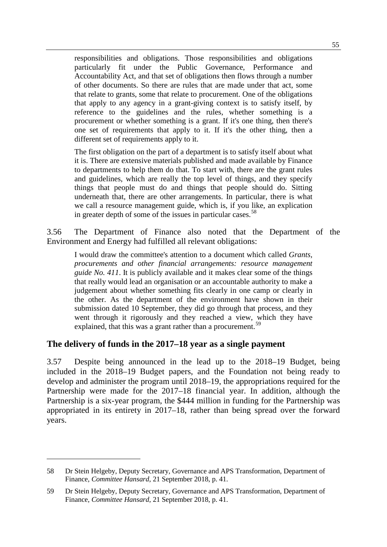responsibilities and obligations. Those responsibilities and obligations particularly fit under the Public Governance, Performance and Accountability Act, and that set of obligations then flows through a number of other documents. So there are rules that are made under that act, some that relate to grants, some that relate to procurement. One of the obligations that apply to any agency in a grant-giving context is to satisfy itself, by reference to the guidelines and the rules, whether something is a procurement or whether something is a grant. If it's one thing, then there's one set of requirements that apply to it. If it's the other thing, then a different set of requirements apply to it.

The first obligation on the part of a department is to satisfy itself about what it is. There are extensive materials published and made available by Finance to departments to help them do that. To start with, there are the grant rules and guidelines, which are really the top level of things, and they specify things that people must do and things that people should do. Sitting underneath that, there are other arrangements. In particular, there is what we call a resource management guide, which is, if you like, an explication in greater depth of some of the issues in particular cases.<sup>[58](#page-16-0)</sup>

3.56 The Department of Finance also noted that the Department of the Environment and Energy had fulfilled all relevant obligations:

I would draw the committee's attention to a document which called *Grants, procurements and other financial arrangements: resource management guide No. 411*. It is publicly available and it makes clear some of the things that really would lead an organisation or an accountable authority to make a judgement about whether something fits clearly in one camp or clearly in the other. As the department of the environment have shown in their submission dated 10 September, they did go through that process, and they went through it rigorously and they reached a view, which they have explained, that this was a grant rather than a procurement.<sup>[59](#page-16-1)</sup>

#### **The delivery of funds in the 2017–18 year as a single payment**

-

3.57 Despite being announced in the lead up to the 2018–19 Budget, being included in the 2018–19 Budget papers, and the Foundation not being ready to develop and administer the program until 2018–19, the appropriations required for the Partnership were made for the 2017–18 financial year. In addition, although the Partnership is a six-year program, the \$444 million in funding for the Partnership was appropriated in its entirety in 2017–18, rather than being spread over the forward years.

<span id="page-16-0"></span><sup>58</sup> Dr Stein Helgeby, Deputy Secretary, Governance and APS Transformation, Department of Finance, *Committee Hansard*, 21 September 2018, p. 41.

<span id="page-16-1"></span><sup>59</sup> Dr Stein Helgeby, Deputy Secretary, Governance and APS Transformation, Department of Finance, *Committee Hansard*, 21 September 2018, p. 41.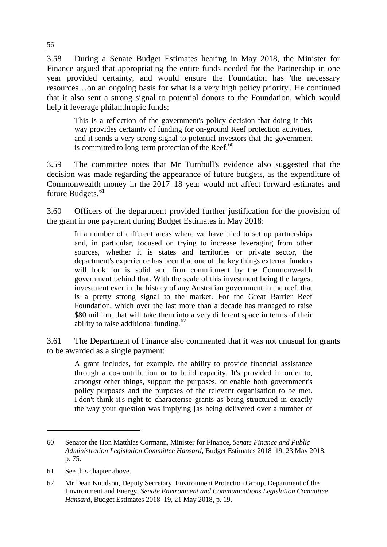3.58 During a Senate Budget Estimates hearing in May 2018, the Minister for Finance argued that appropriating the entire funds needed for the Partnership in one year provided certainty, and would ensure the Foundation has 'the necessary resources…on an ongoing basis for what is a very high policy priority'. He continued that it also sent a strong signal to potential donors to the Foundation, which would help it leverage philanthropic funds:

This is a reflection of the government's policy decision that doing it this way provides certainty of funding for on-ground Reef protection activities, and it sends a very strong signal to potential investors that the government is committed to long-term protection of the Reef. $60$ 

3.59 The committee notes that Mr Turnbull's evidence also suggested that the decision was made regarding the appearance of future budgets, as the expenditure of Commonwealth money in the 2017–18 year would not affect forward estimates and future Budgets.<sup>[61](#page-17-1)</sup>

3.60 Officers of the department provided further justification for the provision of the grant in one payment during Budget Estimates in May 2018:

In a number of different areas where we have tried to set up partnerships and, in particular, focused on trying to increase leveraging from other sources, whether it is states and territories or private sector, the department's experience has been that one of the key things external funders will look for is solid and firm commitment by the Commonwealth government behind that. With the scale of this investment being the largest investment ever in the history of any Australian government in the reef, that is a pretty strong signal to the market. For the Great Barrier Reef Foundation, which over the last more than a decade has managed to raise \$80 million, that will take them into a very different space in terms of their ability to raise additional funding. $62$ 

3.61 The Department of Finance also commented that it was not unusual for grants to be awarded as a single payment:

A grant includes, for example, the ability to provide financial assistance through a co-contribution or to build capacity. It's provided in order to, amongst other things, support the purposes, or enable both government's policy purposes and the purposes of the relevant organisation to be met. I don't think it's right to characterise grants as being structured in exactly the way your question was implying [as being delivered over a number of

<span id="page-17-0"></span><sup>60</sup> Senator the Hon Matthias Cormann, Minister for Finance, *Senate Finance and Public Administration Legislation Committee Hansard*, Budget Estimates 2018–19, 23 May 2018, p. 75.

<span id="page-17-1"></span><sup>61</sup> See this chapter above.

<span id="page-17-2"></span><sup>62</sup> Mr Dean Knudson, Deputy Secretary, Environment Protection Group, Department of the Environment and Energy, *Senate Environment and Communications Legislation Committee Hansard*, Budget Estimates 2018–19, 21 May 2018, p. 19.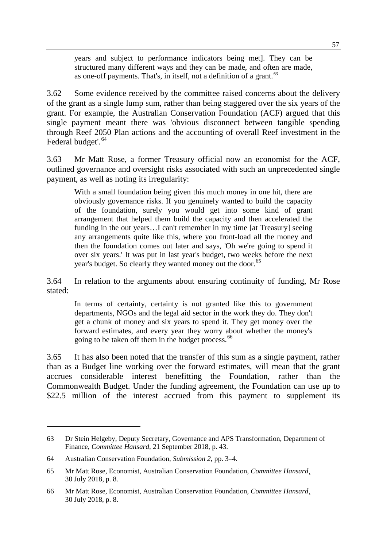years and subject to performance indicators being met]. They can be structured many different ways and they can be made, and often are made, as one-off payments. That's, in itself, not a definition of a grant. $63$ 

3.62 Some evidence received by the committee raised concerns about the delivery of the grant as a single lump sum, rather than being staggered over the six years of the grant. For example, the Australian Conservation Foundation (ACF) argued that this single payment meant there was 'obvious disconnect between tangible spending through Reef 2050 Plan actions and the accounting of overall Reef investment in the Federal budget'.<sup>[64](#page-18-1)</sup>

3.63 Mr Matt Rose, a former Treasury official now an economist for the ACF, outlined governance and oversight risks associated with such an unprecedented single payment, as well as noting its irregularity:

With a small foundation being given this much money in one hit, there are obviously governance risks. If you genuinely wanted to build the capacity of the foundation, surely you would get into some kind of grant arrangement that helped them build the capacity and then accelerated the funding in the out years…I can't remember in my time [at Treasury] seeing any arrangements quite like this, where you front-load all the money and then the foundation comes out later and says, 'Oh we're going to spend it over six years.' It was put in last year's budget, two weeks before the next year's budget. So clearly they wanted money out the door.<sup>[65](#page-18-2)</sup>

3.64 In relation to the arguments about ensuring continuity of funding, Mr Rose stated:

In terms of certainty, certainty is not granted like this to government departments, NGOs and the legal aid sector in the work they do. They don't get a chunk of money and six years to spend it. They get money over the forward estimates, and every year they worry about whether the money's going to be taken off them in the budget process.<sup>[66](#page-18-3)</sup>

3.65 It has also been noted that the transfer of this sum as a single payment, rather than as a Budget line working over the forward estimates, will mean that the grant accrues considerable interest benefitting the Foundation, rather than the Commonwealth Budget. Under the funding agreement, the Foundation can use up to \$22.5 million of the interest accrued from this payment to supplement its

<span id="page-18-0"></span><sup>63</sup> Dr Stein Helgeby, Deputy Secretary, Governance and APS Transformation, Department of Finance, *Committee Hansard*, 21 September 2018, p. 43.

<span id="page-18-1"></span><sup>64</sup> Australian Conservation Foundation, *Submission 2*, pp. 3–4.

<span id="page-18-2"></span><sup>65</sup> Mr Matt Rose, Economist, Australian Conservation Foundation, *Committee Hansard*¸ 30 July 2018, p. 8.

<span id="page-18-3"></span><sup>66</sup> Mr Matt Rose, Economist, Australian Conservation Foundation, *Committee Hansard*¸ 30 July 2018, p. 8.